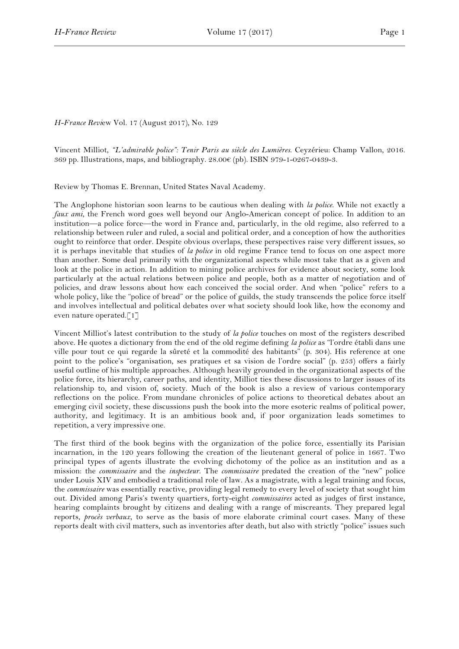## *H-France Revi*ew Vol. 17 (August 2017), No. 129

Vincent Milliot, *"L'admirable police": Tenir Paris au siècle des Lumières*. Ceyzérieu: Champ Vallon, 2016. 369 pp. Illustrations, maps, and bibliography.  $28.00 \in (pb)$ . ISBN 979-1-0267-0439-3.

Review by Thomas E. Brennan, United States Naval Academy.

The Anglophone historian soon learns to be cautious when dealing with *la police*. While not exactly a *faux ami*, the French word goes well beyond our Anglo-American concept of police. In addition to an institution—a police force—the word in France and, particularly, in the old regime, also referred to a relationship between ruler and ruled, a social and political order, and a conception of how the authorities ought to reinforce that order. Despite obvious overlaps, these perspectives raise very different issues, so it is perhaps inevitable that studies of *la police* in old regime France tend to focus on one aspect more than another. Some deal primarily with the organizational aspects while most take that as a given and look at the police in action. In addition to mining police archives for evidence about society, some look particularly at the actual relations between police and people, both as a matter of negotiation and of policies, and draw lessons about how each conceived the social order. And when "police" refers to a whole policy, like the "police of bread" or the police of guilds, the study transcends the police force itself and involves intellectual and political debates over what society should look like, how the economy and even nature operated.[1]

Vincent Milliot's latest contribution to the study of *la police* touches on most of the registers described above. He quotes a dictionary from the end of the old regime defining *la police* as "l'ordre établi dans une ville pour tout ce qui regarde la sûreté et la commodité des habitants" (p. 304). His reference at one point to the police's "organisation, ses pratiques et sa vision de l'ordre social" (p. 253) offers a fairly useful outline of his multiple approaches. Although heavily grounded in the organizational aspects of the police force, its hierarchy, career paths, and identity, Milliot ties these discussions to larger issues of its relationship to, and vision of, society. Much of the book is also a review of various contemporary reflections on the police. From mundane chronicles of police actions to theoretical debates about an emerging civil society, these discussions push the book into the more esoteric realms of political power, authority, and legitimacy. It is an ambitious book and, if poor organization leads sometimes to repetition, a very impressive one.

The first third of the book begins with the organization of the police force, essentially its Parisian incarnation, in the 120 years following the creation of the lieutenant general of police in 1667. Two principal types of agents illustrate the evolving dichotomy of the police as an institution and as a mission: the *commissaire* and the *inspecteur*. The *commissaire* predated the creation of the "new" police under Louis XIV and embodied a traditional role of law. As a magistrate, with a legal training and focus, the *commissaire* was essentially reactive, providing legal remedy to every level of society that sought him out. Divided among Paris's twenty quartiers, forty-eight *commissaires* acted as judges of first instance, hearing complaints brought by citizens and dealing with a range of miscreants. They prepared legal reports, *procès verbaux*, to serve as the basis of more elaborate criminal court cases. Many of these reports dealt with civil matters, such as inventories after death, but also with strictly "police" issues such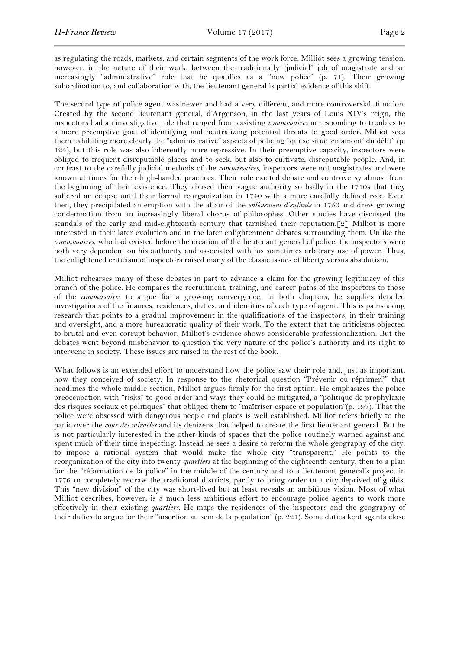as regulating the roads, markets, and certain segments of the work force. Milliot sees a growing tension, however, in the nature of their work, between the traditionally "judicial" job of magistrate and an increasingly "administrative" role that he qualifies as a "new police" (p. 71). Their growing subordination to, and collaboration with, the lieutenant general is partial evidence of this shift.

The second type of police agent was newer and had a very different, and more controversial, function. Created by the second lieutenant general, d'Argenson, in the last years of Louis XIV's reign, the inspectors had an investigative role that ranged from assisting *commissaires* in responding to troubles to a more preemptive goal of identifying and neutralizing potential threats to good order. Milliot sees them exhibiting more clearly the "administrative" aspects of policing "qui se situe 'en amont' du délit" (p. 124), but this role was also inherently more repressive. In their preemptive capacity, inspectors were obliged to frequent disreputable places and to seek, but also to cultivate, disreputable people. And, in contrast to the carefully judicial methods of the *commissaires*, inspectors were not magistrates and were known at times for their high-handed practices. Their role excited debate and controversy almost from the beginning of their existence. They abused their vague authority so badly in the 1710s that they suffered an eclipse until their formal reorganization in 1740 with a more carefully defined role. Even then, they precipitated an eruption with the affair of the *enlèvement d'enfants* in 1750 and drew growing condemnation from an increasingly liberal chorus of philosophes. Other studies have discussed the scandals of the early and mid-eighteenth century that tarnished their reputation.[2] Milliot is more interested in their later evolution and in the later enlightenment debates surrounding them. Unlike the *commissaires*, who had existed before the creation of the lieutenant general of police, the inspectors were both very dependent on his authority and associated with his sometimes arbitrary use of power. Thus, the enlightened criticism of inspectors raised many of the classic issues of liberty versus absolutism.

Milliot rehearses many of these debates in part to advance a claim for the growing legitimacy of this branch of the police. He compares the recruitment, training, and career paths of the inspectors to those of the *commissaires* to argue for a growing convergence. In both chapters, he supplies detailed investigations of the finances, residences, duties, and identities of each type of agent. This is painstaking research that points to a gradual improvement in the qualifications of the inspectors, in their training and oversight, and a more bureaucratic quality of their work. To the extent that the criticisms objected to brutal and even corrupt behavior, Milliot's evidence shows considerable professionalization. But the debates went beyond misbehavior to question the very nature of the police's authority and its right to intervene in society. These issues are raised in the rest of the book.

What follows is an extended effort to understand how the police saw their role and, just as important, how they conceived of society. In response to the rhetorical question "Prévenir ou réprimer?" that headlines the whole middle section, Milliot argues firmly for the first option. He emphasizes the police preoccupation with "risks" to good order and ways they could be mitigated, a "politique de prophylaxie des risques sociaux et politiques" that obliged them to "maîtriser espace et population"(p. 197). That the police were obsessed with dangerous people and places is well established. Milliot refers briefly to the panic over the *cour des miracles* and its denizens that helped to create the first lieutenant general. But he is not particularly interested in the other kinds of spaces that the police routinely warned against and spent much of their time inspecting. Instead he sees a desire to reform the whole geography of the city, to impose a rational system that would make the whole city "transparent." He points to the reorganization of the city into twenty *quartiers* at the beginning of the eighteenth century, then to a plan for the "réformation de la police" in the middle of the century and to a lieutenant general's project in 1776 to completely redraw the traditional districts, partly to bring order to a city deprived of guilds. This "new division" of the city was short-lived but at least reveals an ambitious vision. Most of what Milliot describes, however, is a much less ambitious effort to encourage police agents to work more effectively in their existing *quartiers*. He maps the residences of the inspectors and the geography of their duties to argue for their "insertion au sein de la population" (p. 221). Some duties kept agents close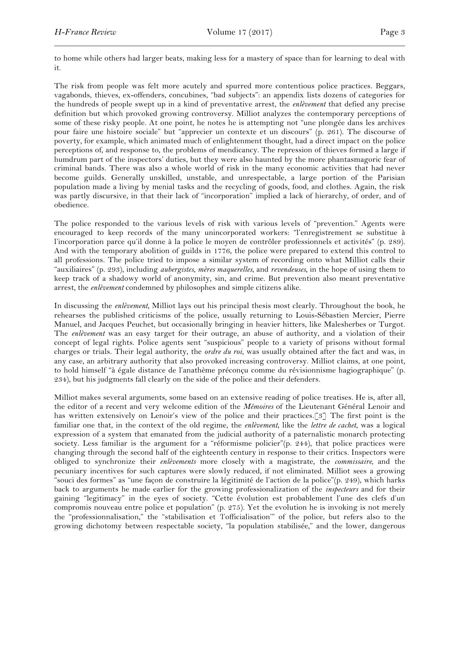to home while others had larger beats, making less for a mastery of space than for learning to deal with it.

The risk from people was felt more acutely and spurred more contentious police practices. Beggars, vagabonds, thieves, ex-offenders, concubines, "bad subjects": an appendix lists dozens of categories for the hundreds of people swept up in a kind of preventative arrest, the *enlèvement* that defied any precise definition but which provoked growing controversy. Milliot analyzes the contemporary perceptions of some of these risky people. At one point, he notes he is attempting not "une plongée dans les archives pour faire une histoire sociale" but "apprecier un contexte et un discours" (p. 261). The discourse of poverty, for example, which animated much of enlightenment thought, had a direct impact on the police perceptions of, and response to, the problems of mendicancy. The repression of thieves formed a large if humdrum part of the inspectors' duties, but they were also haunted by the more phantasmagoric fear of criminal bands. There was also a whole world of risk in the many economic activities that had never become guilds. Generally unskilled, unstable, and unrespectable, a large portion of the Parisian population made a living by menial tasks and the recycling of goods, food, and clothes. Again, the risk was partly discursive, in that their lack of "incorporation" implied a lack of hierarchy, of order, and of obedience.

The police responded to the various levels of risk with various levels of "prevention." Agents were encouraged to keep records of the many unincorporated workers: "l'enregistrement se substitue à l'incorporation parce qu'il donne à la police le moyen de contrôler professionnels et activités" (p. 289). And with the temporary abolition of guilds in 1776, the police were prepared to extend this control to all professions. The police tried to impose a similar system of recording onto what Milliot calls their "auxiliaires" (p. 293), including *aubergistes*, *mères maquerelles*, and *revendeuses*, in the hope of using them to keep track of a shadowy world of anonymity, sin, and crime. But prevention also meant preventative arrest, the *enlèvement* condemned by philosophes and simple citizens alike.

In discussing the *enlèvement*, Milliot lays out his principal thesis most clearly. Throughout the book, he rehearses the published criticisms of the police, usually returning to Louis-Sébastien Mercier, Pierre Manuel, and Jacques Peuchet, but occasionally bringing in heavier hitters, like Malesherbes or Turgot. The *enlèvement* was an easy target for their outrage, an abuse of authority, and a violation of their concept of legal rights. Police agents sent "suspicious" people to a variety of prisons without formal charges or trials. Their legal authority, the *ordre du roi*, was usually obtained after the fact and was, in any case, an arbitrary authority that also provoked increasing controversy. Milliot claims, at one point, to hold himself "à égale distance de l'anathème préconçu comme du révisionnisme hagiographique" (p. 234), but his judgments fall clearly on the side of the police and their defenders.

Milliot makes several arguments, some based on an extensive reading of police treatises. He is, after all, the editor of a recent and very welcome edition of the *Mémoires* of the Lieutenant Général Lenoir and has written extensively on Lenoir's view of the police and their practices.[3] The first point is the familiar one that, in the context of the old regime, the *enlèvement*, like the *lettre de cachet*, was a logical expression of a system that emanated from the judicial authority of a paternalistic monarch protecting society. Less familiar is the argument for a "réformisme policier"(p. 244), that police practices were changing through the second half of the eighteenth century in response to their critics. Inspectors were obliged to synchronize their *enlèvements* more closely with a magistrate, the *commissaire,* and the pecuniary incentives for such captures were slowly reduced, if not eliminated. Milliot sees a growing "souci des formes" as "une façon de construire la légitimité de l'action de la police"(p. 249), which harks back to arguments he made earlier for the growing professionalization of the *inspecteurs* and for their gaining "legitimacy" in the eyes of society. "Cette évolution est probablement l'une des clefs d'un compromis nouveau entre police et population" (p. 275). Yet the evolution he is invoking is not merely the "professionnalisation," the "stabilisation et 'l'officialisation'" of the police, but refers also to the growing dichotomy between respectable society, "la population stabilisée," and the lower, dangerous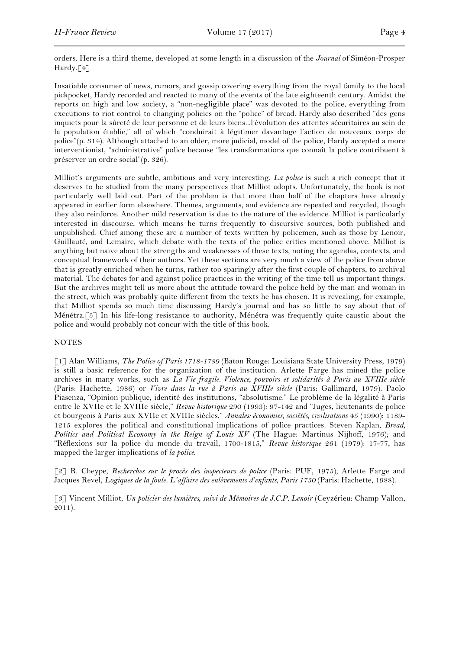orders. Here is a third theme, developed at some length in a discussion of the *Journal* of Siméon-Prosper Hardy.[4]

Insatiable consumer of news, rumors, and gossip covering everything from the royal family to the local pickpocket, Hardy recorded and reacted to many of the events of the late eighteenth century. Amidst the reports on high and low society, a "non-negligible place" was devoted to the police, everything from executions to riot control to changing policies on the "police" of bread. Hardy also described "des gens inquiets pour la sûreté de leur personne et de leurs biens...l'évolution des attentes sécuritaires au sein de la population établie," all of which "conduirait à légitimer davantage l'action de nouveaux corps de police"(p. 314). Although attached to an older, more judicial, model of the police, Hardy accepted a more interventionist, "administrative" police because "les transformations que connaît la police contribuent à préserver un ordre social"(p. 326).

Milliot's arguments are subtle, ambitious and very interesting. *La police* is such a rich concept that it deserves to be studied from the many perspectives that Milliot adopts. Unfortunately, the book is not particularly well laid out. Part of the problem is that more than half of the chapters have already appeared in earlier form elsewhere. Themes, arguments, and evidence are repeated and recycled, though they also reinforce. Another mild reservation is due to the nature of the evidence. Milliot is particularly interested in discourse, which means he turns frequently to discursive sources, both published and unpublished. Chief among these are a number of texts written by policemen, such as those by Lenoir, Guillauté, and Lemaire, which debate with the texts of the police critics mentioned above. Milliot is anything but naive about the strengths and weaknesses of these texts, noting the agendas, contexts, and conceptual framework of their authors. Yet these sections are very much a view of the police from above that is greatly enriched when he turns, rather too sparingly after the first couple of chapters, to archival material. The debates for and against police practices in the writing of the time tell us important things. But the archives might tell us more about the attitude toward the police held by the man and woman in the street, which was probably quite different from the texts he has chosen. It is revealing, for example, that Milliot spends so much time discussing Hardy's journal and has so little to say about that of Ménétra.[5] In his life-long resistance to authority, Ménétra was frequently quite caustic about the police and would probably not concur with the title of this book.

## **NOTES**

[1] Alan Williams, *The Police of Paris 1718-1789* (Baton Rouge: Louisiana State University Press, 1979) is still a basic reference for the organization of the institution. Arlette Farge has mined the police archives in many works, such as *La Vie fragile. Violence, pouvoirs et solidarités à Paris au XVIIIe siècle* (Paris: Hachette, 1986) or *Vivre dans la rue à Paris au XVIIIe siècle* (Paris: Gallimard, 1979). Paolo Piasenza, "Opinion publique, identité des institutions, "absolutisme." Le problème de la légalité à Paris entre le XVIIe et le XVIIIe siècle," *Revue historique* 290 (1993): 97-142 and "Juges, lieutenants de police et bourgeois à Paris aux XVIIe et XVIIIe siècles," *Annales: économies, sociétés, civilisations* 45 (1990): 1189- 1215 explores the political and constitutional implications of police practices. Steven Kaplan, *Bread, Politics and Political Economy in the Reign of Louis XV* (The Hague: Martinus Nijhoff, 1976); and "Réflexions sur la police du monde du travail, 1700-1815," *Revue historique* 261 (1979): 17-77, has mapped the larger implications of *la police*.

[2] R. Cheype, *Recherches sur le procès des inspecteurs de police* (Paris: PUF, 1975); Arlette Farge and Jacques Revel, *Logiques de la foule. L'affaire des enlèvements d'enfants, Paris 1750* (Paris: Hachette, 1988).

[3] Vincent Milliot, *Un policier des lumières, suivi de Mémoires de J.C.P. Lenoir* (Ceyzérieu: Champ Vallon, 2011).